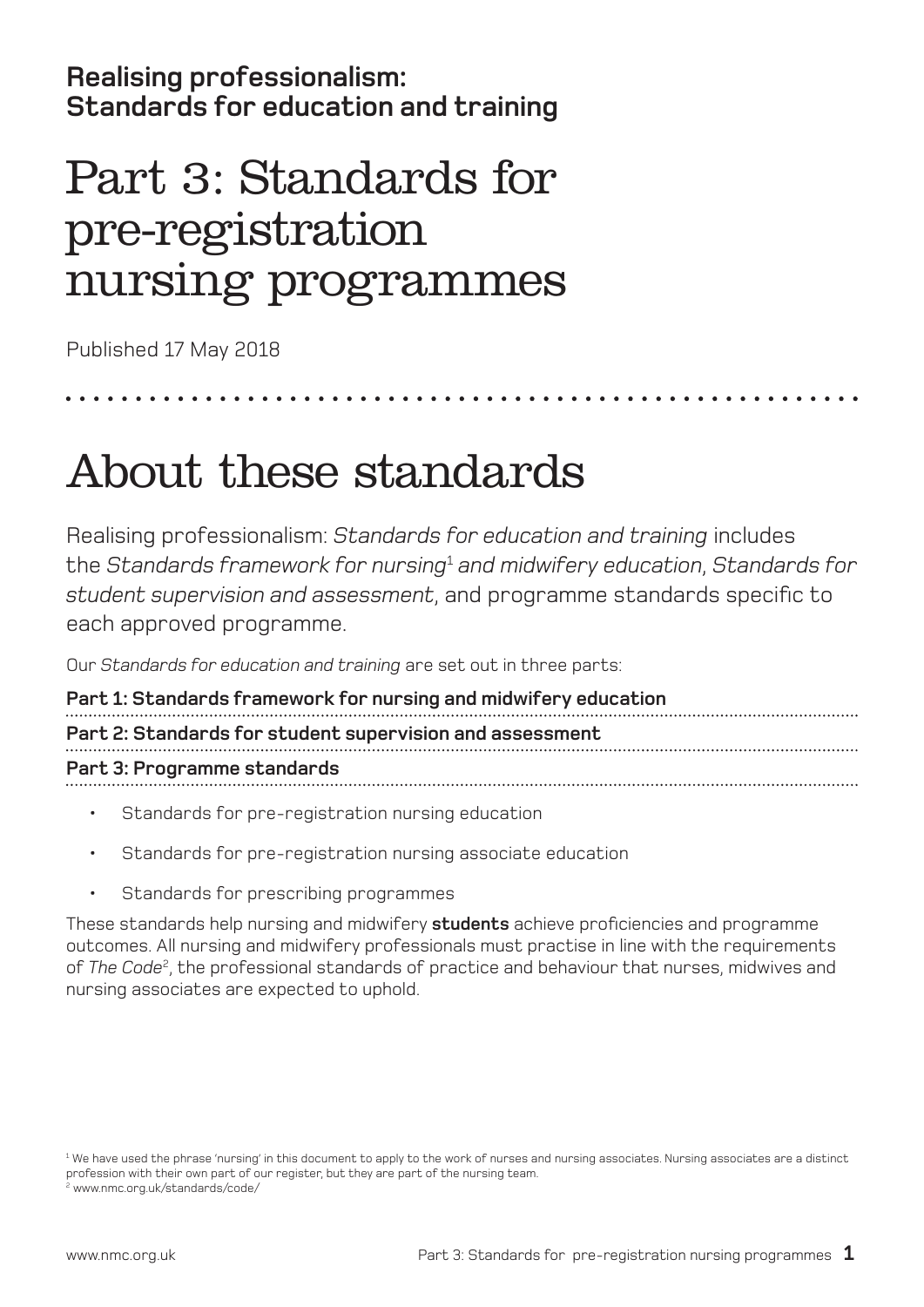### **Realising professionalism: Standards for education and training**

### Part 3: Standards for pre-registration nursing programmes

Published 17 May 2018

### About these standards

Realising professionalism: *Standards for education and training* includes the *Standards framework for nursing*<sup>1</sup>  *and midwifery education*, *Standards for student supervision and assessment*, and programme standards specific to each approved programme.

Our *Standards for education and training* are set out in three parts:

| Part 1: Standards framework for nursing and midwifery education |
|-----------------------------------------------------------------|
| Part 2: Standards for student supervision and assessment        |
| Part 3: Programme standards                                     |

- Standards for pre-registration nursing education
- Standards for pre-registration nursing associate education
- Standards for prescribing programmes

These standards help nursing and midwifery **students** achieve proficiencies and programme outcomes. All nursing and midwifery professionals must practise in line with the requirements of *The Code*2, the professional standards of practice and behaviour that nurses, midwives and nursing associates are expected to uphold.

<sup>1</sup> We have used the phrase 'nursing' in this document to apply to the work of nurses and nursing associates. Nursing associates are a distinct profession with their own part of our register, but they are part of the nursing team.

<sup>2</sup> www.nmc.org.uk/standards/code/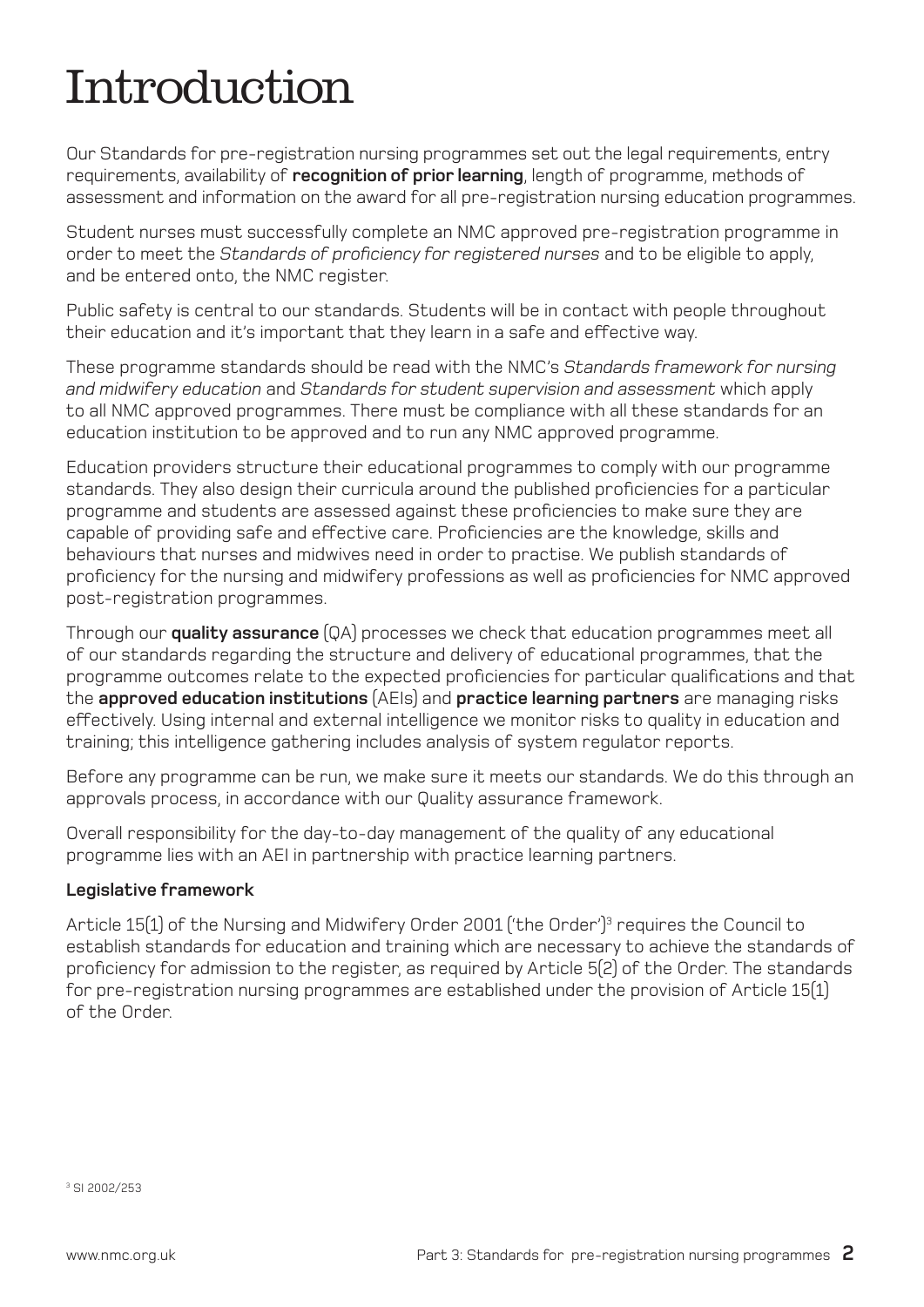# Introduction

Our Standards for pre-registration nursing programmes set out the legal requirements, entry requirements, availability of **recognition of prior learning**, length of programme, methods of assessment and information on the award for all pre-registration nursing education programmes.

Student nurses must successfully complete an NMC approved pre-registration programme in order to meet the *Standards of proficiency for registered nurses* and to be eligible to apply, and be entered onto, the NMC register.

Public safety is central to our standards. Students will be in contact with people throughout their education and it's important that they learn in a safe and effective way.

These programme standards should be read with the NMC's *Standards framework for nursing and midwifery education* and *Standards for student supervision and assessment* which apply to all NMC approved programmes. There must be compliance with all these standards for an education institution to be approved and to run any NMC approved programme.

Education providers structure their educational programmes to comply with our programme standards. They also design their curricula around the published proficiencies for a particular programme and students are assessed against these proficiencies to make sure they are capable of providing safe and effective care. Proficiencies are the knowledge, skills and behaviours that nurses and midwives need in order to practise. We publish standards of proficiency for the nursing and midwifery professions as well as proficiencies for NMC approved post-registration programmes.

Through our **quality assurance** (QA) processes we check that education programmes meet all of our standards regarding the structure and delivery of educational programmes, that the programme outcomes relate to the expected proficiencies for particular qualifications and that the **approved education institutions** (AEIs) and **practice learning partners** are managing risks effectively. Using internal and external intelligence we monitor risks to quality in education and training; this intelligence gathering includes analysis of system regulator reports.

Before any programme can be run, we make sure it meets our standards. We do this through an approvals process, in accordance with our Quality assurance framework.

Overall responsibility for the day-to-day management of the quality of any educational programme lies with an AEI in partnership with practice learning partners.

#### **Legislative framework**

Article 15 $(1)$  of the Nursing and Midwifery Order 2001 ('the Order') $^3$  requires the Council to establish standards for education and training which are necessary to achieve the standards of proficiency for admission to the register, as required by Article 5(2) of the Order. The standards for pre-registration nursing programmes are established under the provision of Article 15(1) of the Order.

3 SI 2002/253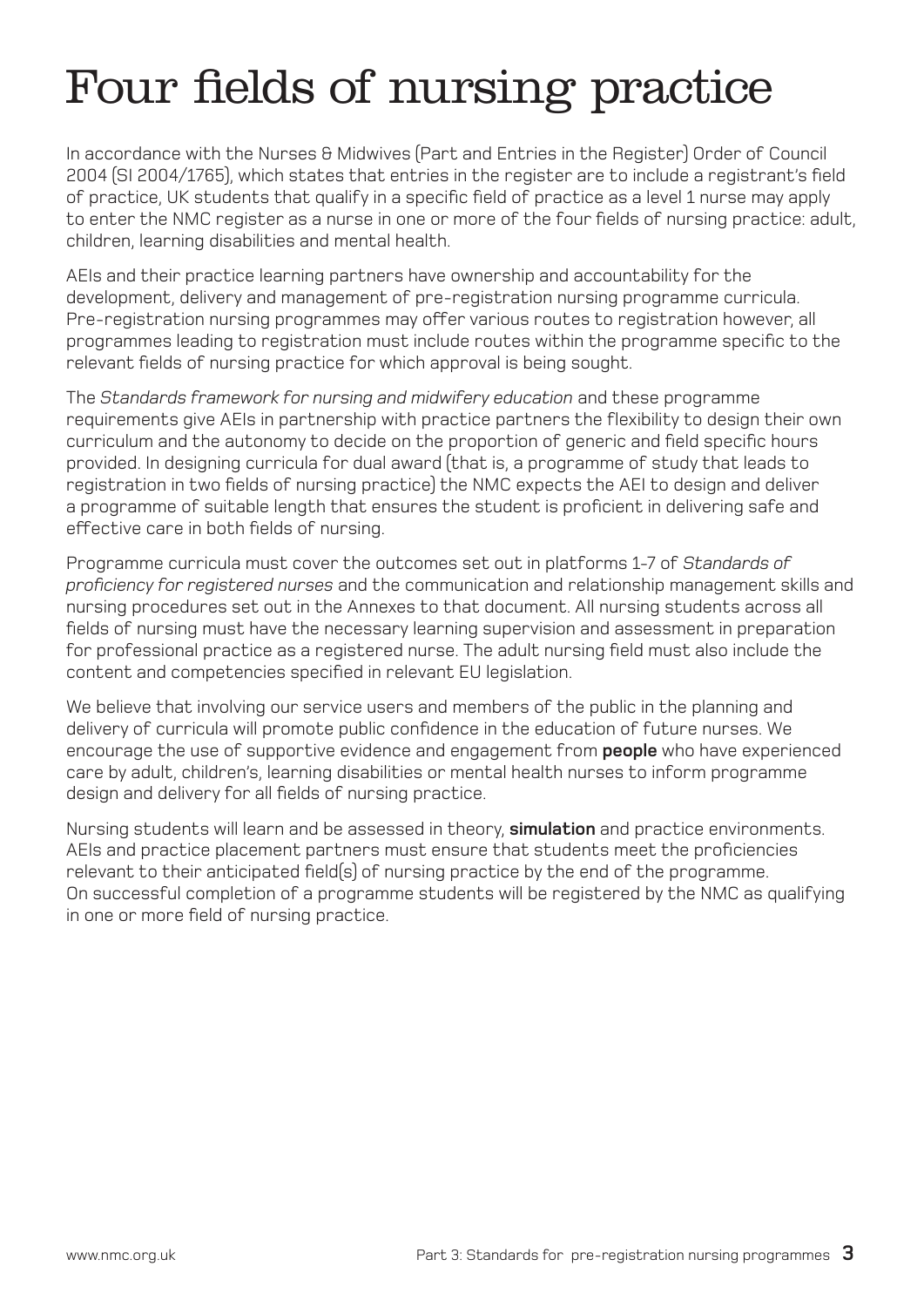# Four fields of nursing practice

In accordance with the Nurses & Midwives (Part and Entries in the Register) Order of Council 2004 (SI 2004/1765), which states that entries in the register are to include a registrant's field of practice, UK students that qualify in a specific field of practice as a level 1 nurse may apply to enter the NMC register as a nurse in one or more of the four fields of nursing practice: adult, children, learning disabilities and mental health.

AEIs and their practice learning partners have ownership and accountability for the development, delivery and management of pre-registration nursing programme curricula. Pre-registration nursing programmes may offer various routes to registration however, all programmes leading to registration must include routes within the programme specific to the relevant fields of nursing practice for which approval is being sought.

The *Standards framework for nursing and midwifery education* and these programme requirements give AEIs in partnership with practice partners the flexibility to design their own curriculum and the autonomy to decide on the proportion of generic and field specific hours provided. In designing curricula for dual award (that is, a programme of study that leads to registration in two fields of nursing practice) the NMC expects the AEI to design and deliver a programme of suitable length that ensures the student is proficient in delivering safe and effective care in both fields of nursing.

Programme curricula must cover the outcomes set out in platforms 1-7 of *Standards of proficiency for registered nurses* and the communication and relationship management skills and nursing procedures set out in the Annexes to that document. All nursing students across all fields of nursing must have the necessary learning supervision and assessment in preparation for professional practice as a registered nurse. The adult nursing field must also include the content and competencies specified in relevant EU legislation.

We believe that involving our service users and members of the public in the planning and delivery of curricula will promote public confidence in the education of future nurses. We encourage the use of supportive evidence and engagement from **people** who have experienced care by adult, children's, learning disabilities or mental health nurses to inform programme design and delivery for all fields of nursing practice.

Nursing students will learn and be assessed in theory, **simulation** and practice environments. AEIs and practice placement partners must ensure that students meet the proficiencies relevant to their anticipated field(s) of nursing practice by the end of the programme. On successful completion of a programme students will be registered by the NMC as qualifying in one or more field of nursing practice.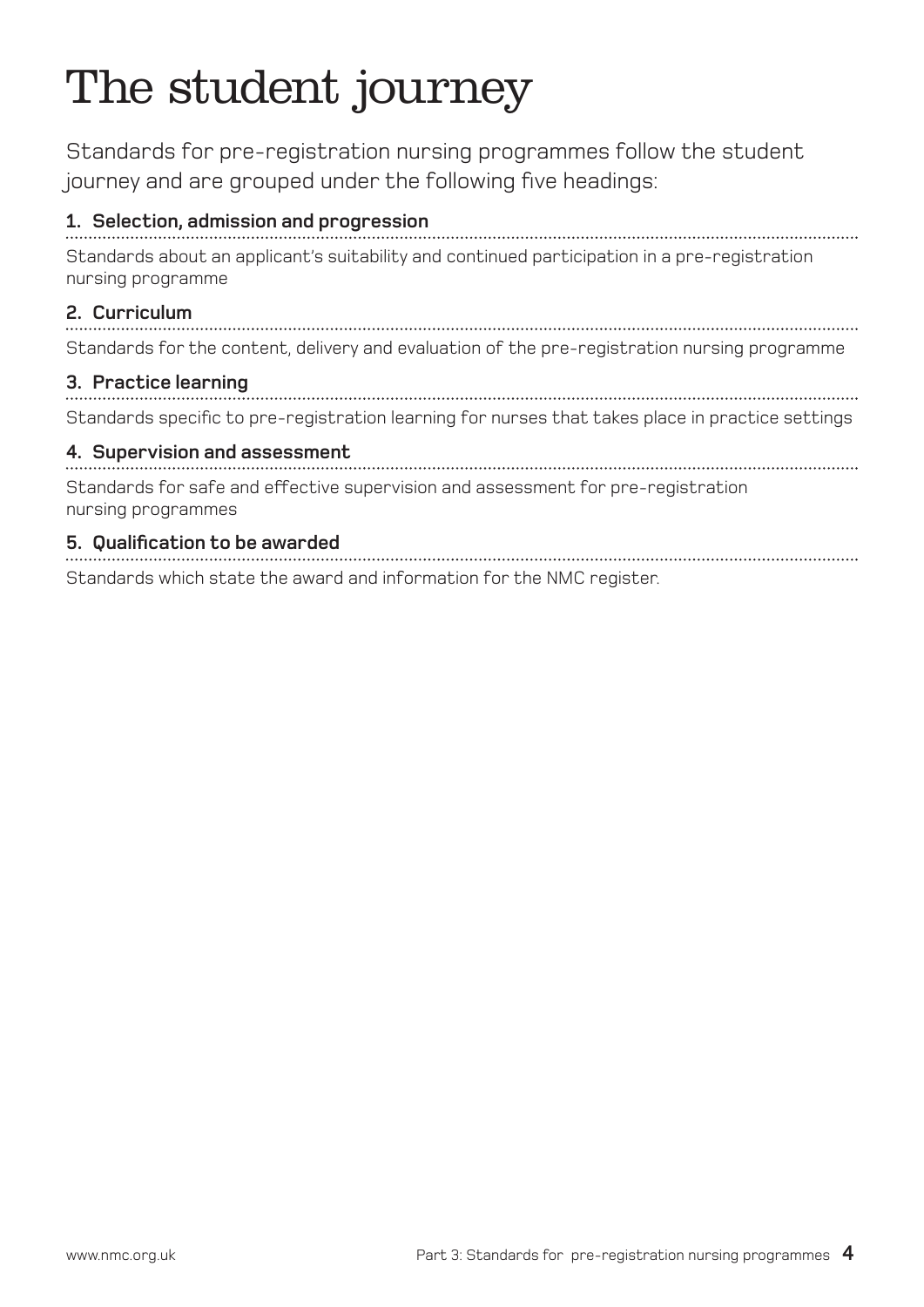# The student journey

Standards for pre-registration nursing programmes follow the student journey and are grouped under the following five headings:

### **1. Selection, admission and progression**

Standards about an applicant's suitability and continued participation in a pre-registration nursing programme

### **2. Curriculum**

Standards for the content, delivery and evaluation of the pre-registration nursing programme

### **3. Practice learning**

Standards specific to pre-registration learning for nurses that takes place in practice settings

### **4. Supervision and assessment**

Standards for safe and effective supervision and assessment for pre-registration nursing programmes

### **5. Qualification to be awarded**

Standards which state the award and information for the NMC register.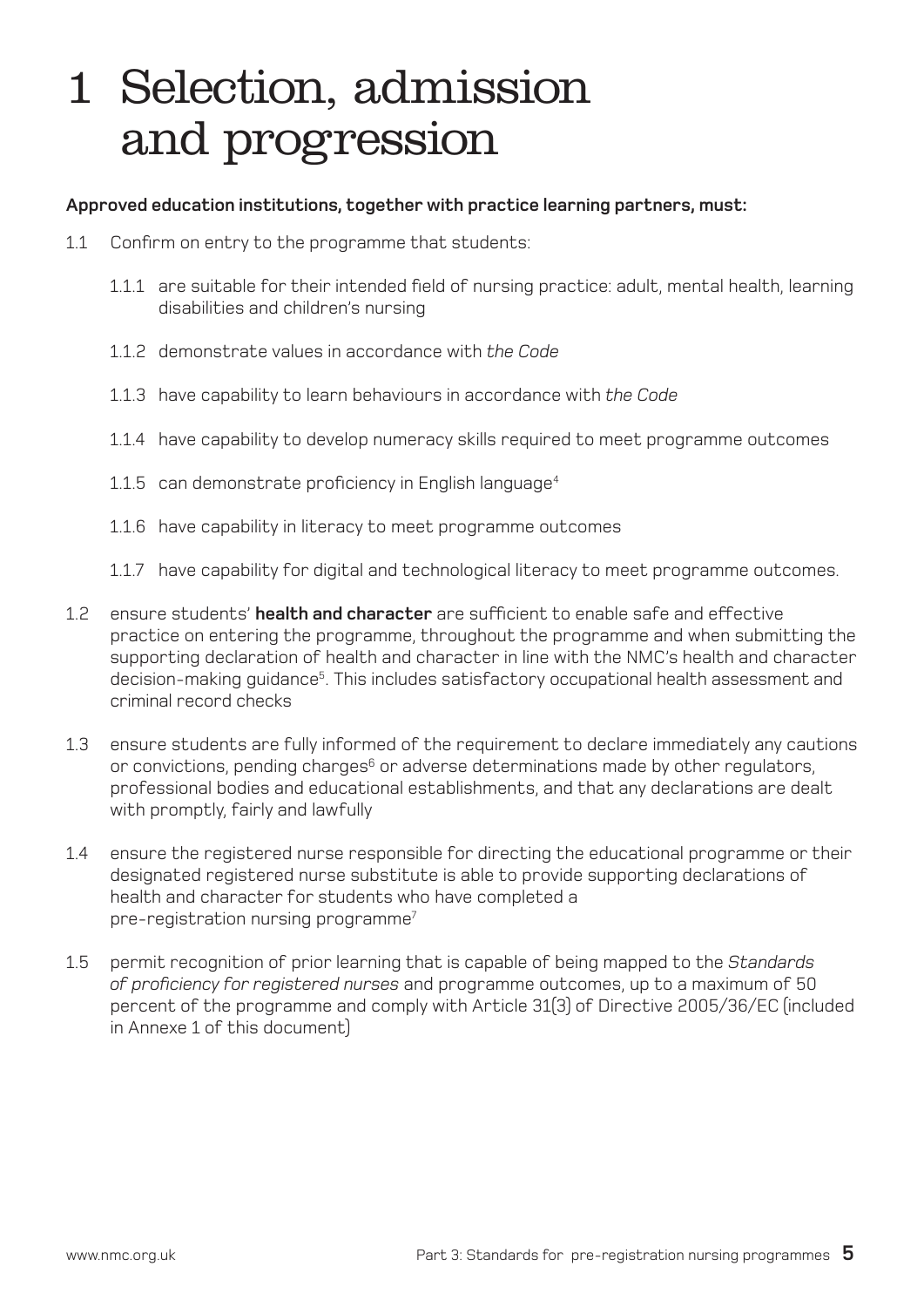### 1 Selection, admission and progression

- 1.1 Confirm on entry to the programme that students:
	- 1.1.1 are suitable for their intended field of nursing practice: adult, mental health, learning disabilities and children's nursing
	- 1.1.2 demonstrate values in accordance with *the Code*
	- 1.1.3 have capability to learn behaviours in accordance with *the Code*
	- 1.1.4 have capability to develop numeracy skills required to meet programme outcomes
	- 1.1.5 can demonstrate proficiency in English language<sup>4</sup>
	- 1.1.6 have capability in literacy to meet programme outcomes
	- 1.1.7 have capability for digital and technological literacy to meet programme outcomes.
- 1.2 ensure students' **health and character** are sufficient to enable safe and effective practice on entering the programme, throughout the programme and when submitting the supporting declaration of health and character in line with the NMC's health and character decision-making quidance<sup>5</sup>. This includes satisfactory occupational health assessment and criminal record checks
- 1.3 ensure students are fully informed of the requirement to declare immediately any cautions or convictions, pending charges<sup>6</sup> or adverse determinations made by other regulators, professional bodies and educational establishments, and that any declarations are dealt with promptly, fairly and lawfully
- 1.4 ensure the registered nurse responsible for directing the educational programme or their designated registered nurse substitute is able to provide supporting declarations of health and character for students who have completed a pre-registration nursing programme<sup>7</sup>
- 1.5 permit recognition of prior learning that is capable of being mapped to the *Standards of proficiency for registered nurses* and programme outcomes, up to a maximum of 50 percent of the programme and comply with Article 31(3) of Directive 2005/36/EC (included in Annexe 1 of this document)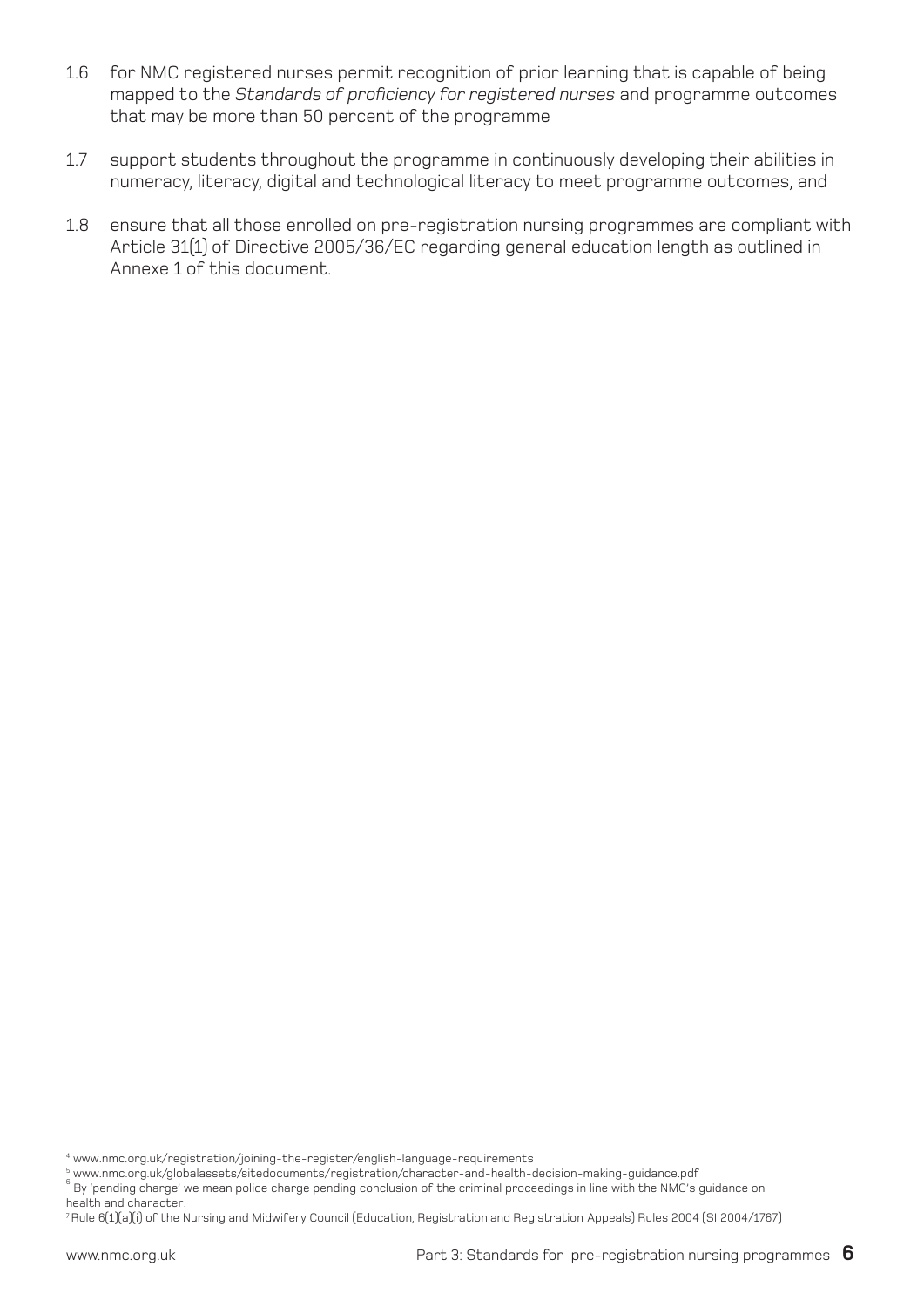- 1.6 for NMC registered nurses permit recognition of prior learning that is capable of being mapped to the *Standards of proficiency for registered nurses* and programme outcomes that may be more than 50 percent of the programme
- 1.7 support students throughout the programme in continuously developing their abilities in numeracy, literacy, digital and technological literacy to meet programme outcomes, and
- 1.8 ensure that all those enrolled on pre-registration nursing programmes are compliant with Article 31(1) of Directive 2005/36/EC regarding general education length as outlined in Annexe 1 of this document.

<sup>4</sup> www.nmc.org.uk/registration/joining-the-register/english-language-requirements

<sup>5</sup> www.nmc.org.uk/globalassets/sitedocuments/registration/character-and-health-decision-making-guidance.pdf

<sup>6</sup> By 'pending charge' we mean police charge pending conclusion of the criminal proceedings in line with the NMC's guidance on health and character.

<sup>7</sup>Rule 6(1)(a)(i) of the Nursing and Midwifery Council (Education, Registration and Registration Appeals) Rules 2004 (SI 2004/1767)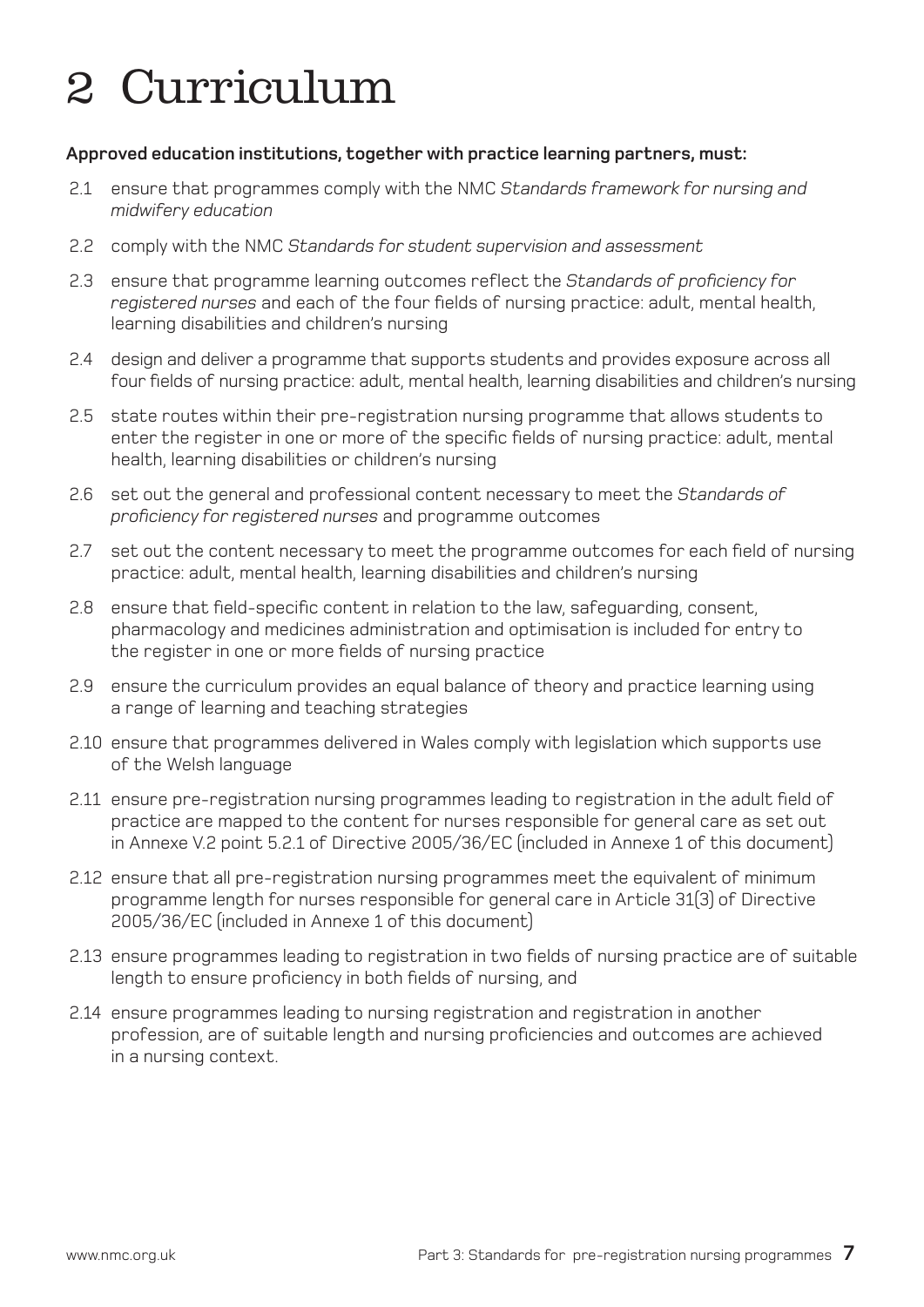# 2 Curriculum

- 2.1 ensure that programmes comply with the NMC *Standards framework for nursing and midwifery education*
- 2.2 comply with the NMC *Standards for student supervision and assessment*
- 2.3 ensure that programme learning outcomes reflect the *Standards of proficiency for registered nurses* and each of the four fields of nursing practice: adult, mental health, learning disabilities and children's nursing
- 2.4 design and deliver a programme that supports students and provides exposure across all four fields of nursing practice: adult, mental health, learning disabilities and children's nursing
- 2.5 state routes within their pre-registration nursing programme that allows students to enter the register in one or more of the specific fields of nursing practice: adult, mental health, learning disabilities or children's nursing
- 2.6 set out the general and professional content necessary to meet the *Standards of proficiency for registered nurses* and programme outcomes
- 2.7 set out the content necessary to meet the programme outcomes for each field of nursing practice: adult, mental health, learning disabilities and children's nursing
- 2.8 ensure that field-specific content in relation to the law, safeguarding, consent, pharmacology and medicines administration and optimisation is included for entry to the register in one or more fields of nursing practice
- 2.9 ensure the curriculum provides an equal balance of theory and practice learning using a range of learning and teaching strategies
- 2.10 ensure that programmes delivered in Wales comply with legislation which supports use of the Welsh language
- 2.11 ensure pre-registration nursing programmes leading to registration in the adult field of practice are mapped to the content for nurses responsible for general care as set out in Annexe V.2 point 5.2.1 of Directive 2005/36/EC (included in Annexe 1 of this document)
- 2.12 ensure that all pre-registration nursing programmes meet the equivalent of minimum programme length for nurses responsible for general care in Article 31(3) of Directive 2005/36/EC (included in Annexe 1 of this document)
- 2.13 ensure programmes leading to registration in two fields of nursing practice are of suitable length to ensure proficiency in both fields of nursing, and
- 2.14 ensure programmes leading to nursing registration and registration in another profession, are of suitable length and nursing proficiencies and outcomes are achieved in a nursing context.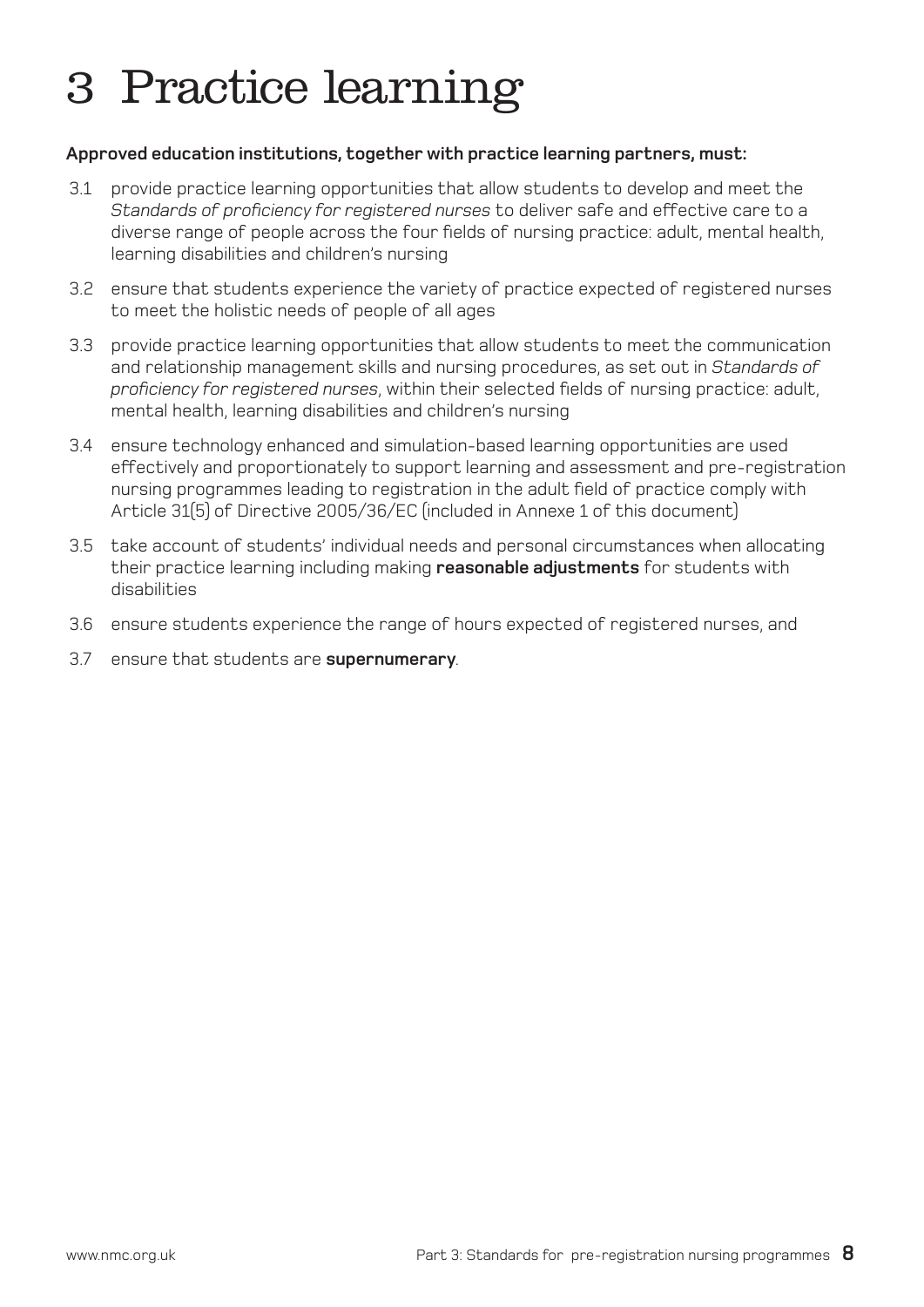# 3 Practice learning

- 3.1 provide practice learning opportunities that allow students to develop and meet the *Standards of proficiency for registered nurses* to deliver safe and effective care to a diverse range of people across the four fields of nursing practice: adult, mental health, learning disabilities and children's nursing
- 3.2 ensure that students experience the variety of practice expected of registered nurses to meet the holistic needs of people of all ages
- 3.3 provide practice learning opportunities that allow students to meet the communication and relationship management skills and nursing procedures, as set out in *Standards of proficiency for registered nurses*, within their selected fields of nursing practice: adult, mental health, learning disabilities and children's nursing
- 3.4 ensure technology enhanced and simulation-based learning opportunities are used effectively and proportionately to support learning and assessment and pre-registration nursing programmes leading to registration in the adult field of practice comply with Article 31(5) of Directive 2005/36/EC (included in Annexe 1 of this document)
- 3.5 take account of students' individual needs and personal circumstances when allocating their practice learning including making **reasonable adjustments** for students with disabilities
- 3.6 ensure students experience the range of hours expected of registered nurses, and
- 3.7 ensure that students are **supernumerary**.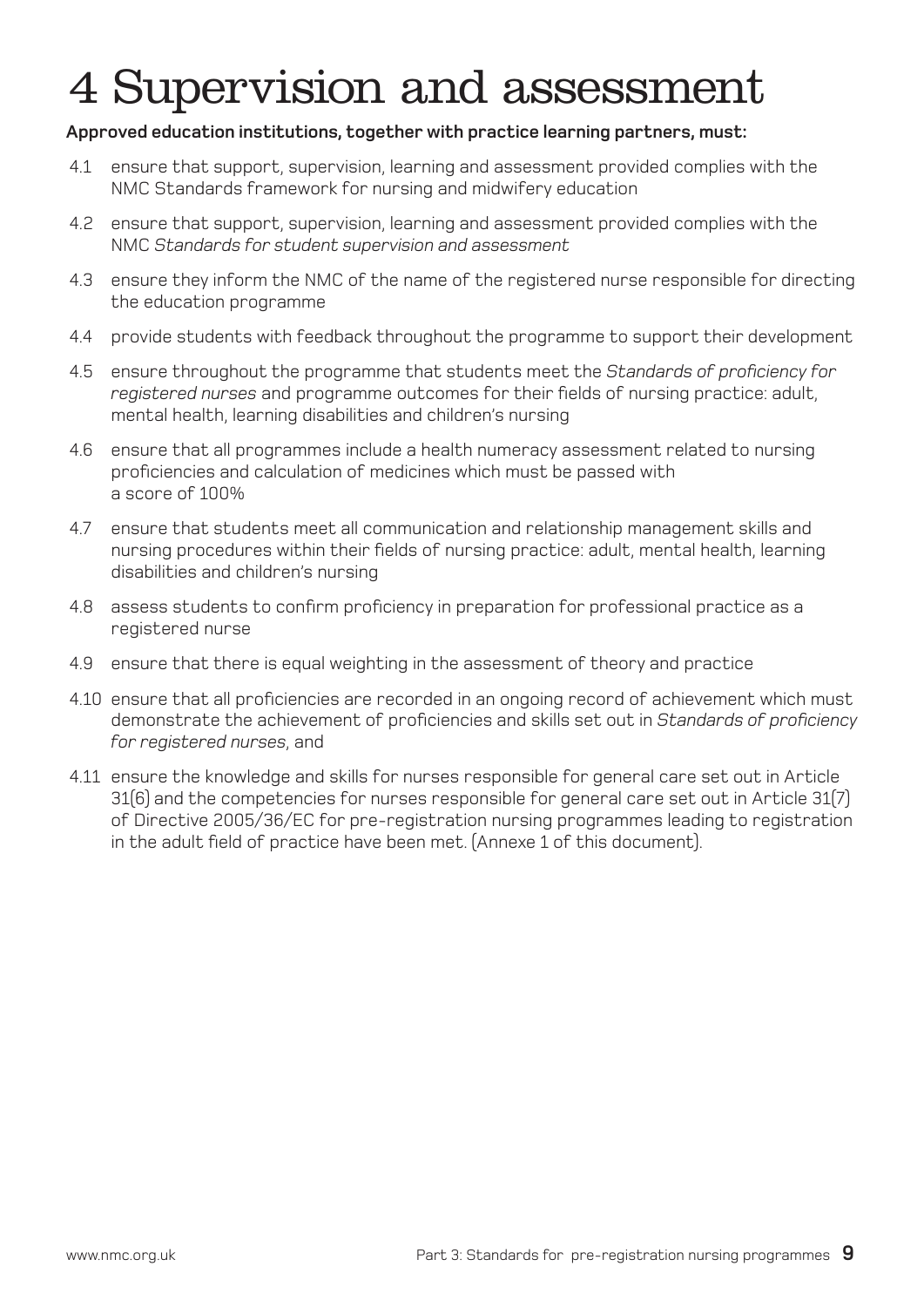# 4 Supervision and assessment

- 4.1 ensure that support, supervision, learning and assessment provided complies with the NMC Standards framework for nursing and midwifery education
- 4.2 ensure that support, supervision, learning and assessment provided complies with the NMC *Standards for student supervision and assessment*
- 4.3 ensure they inform the NMC of the name of the registered nurse responsible for directing the education programme
- 4.4 provide students with feedback throughout the programme to support their development
- 4.5 ensure throughout the programme that students meet the *Standards of proficiency for registered nurses* and programme outcomes for their fields of nursing practice: adult, mental health, learning disabilities and children's nursing
- 4.6 ensure that all programmes include a health numeracy assessment related to nursing proficiencies and calculation of medicines which must be passed with a score of 100%
- 4.7 ensure that students meet all communication and relationship management skills and nursing procedures within their fields of nursing practice: adult, mental health, learning disabilities and children's nursing
- 4.8 assess students to confirm proficiency in preparation for professional practice as a registered nurse
- 4.9 ensure that there is equal weighting in the assessment of theory and practice
- 4.10 ensure that all proficiencies are recorded in an ongoing record of achievement which must demonstrate the achievement of proficiencies and skills set out in *Standards of proficiency for registered nurses*, and
- 4.11 ensure the knowledge and skills for nurses responsible for general care set out in Article 31(6) and the competencies for nurses responsible for general care set out in Article 31(7) of Directive 2005/36/EC for pre-registration nursing programmes leading to registration in the adult field of practice have been met. (Annexe 1 of this document).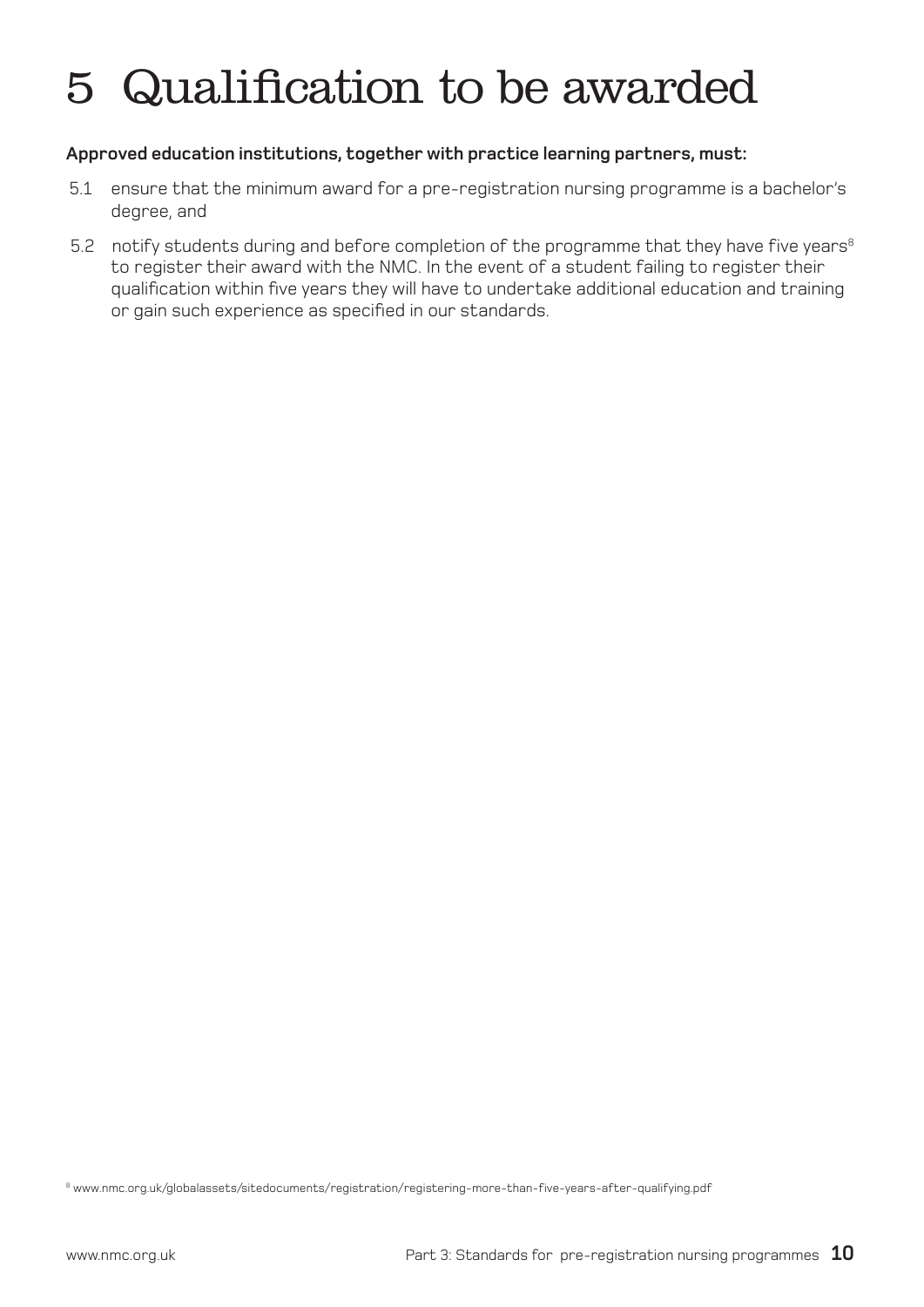# 5 Qualification to be awarded

#### **Approved education institutions, together with practice learning partners, must:**

- 5.1 ensure that the minimum award for a pre-registration nursing programme is a bachelor's degree, and
- 5.2 notify students during and before completion of the programme that they have five years<sup>8</sup> to register their award with the NMC. In the event of a student failing to register their qualification within five years they will have to undertake additional education and training or gain such experience as specified in our standards.

 $^{\rm 8}$  www.nmc.org.uk/globalassets/sitedocuments/registration/registering-more-than-five-years-after-qualifying.pdf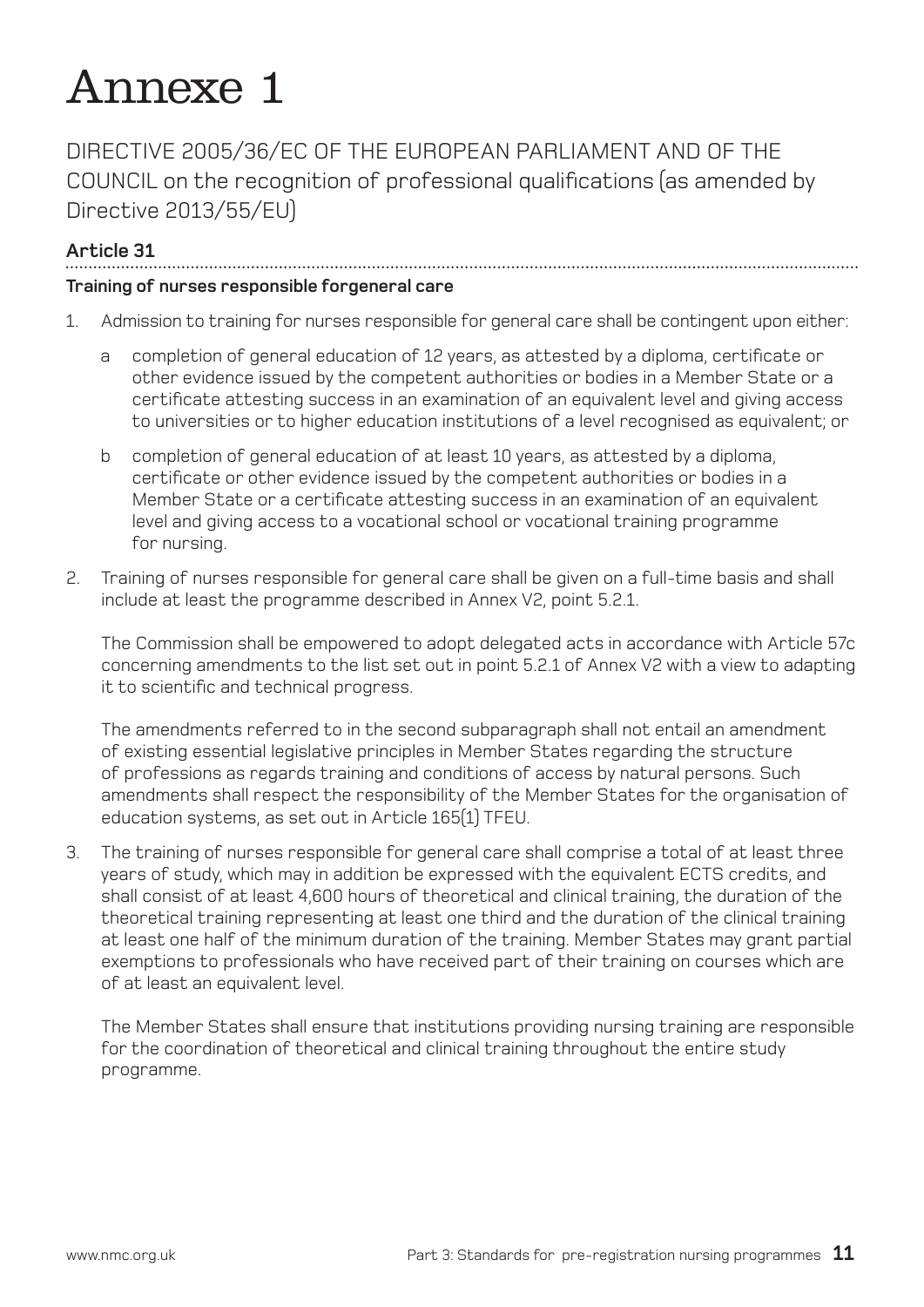# Annexe 1

DIRECTIVE 2005/36/EC OF THE EUROPEAN PARLIAMENT AND OF THE COUNCIL on the recognition of professional qualifications (as amended by Directive 2013/55/EU)

### **Article 31**

#### **Training of nurses responsible forgeneral care**

- 1. Admission to training for nurses responsible for general care shall be contingent upon either:
	- a completion of general education of 12 years, as attested by a diploma, certificate or other evidence issued by the competent authorities or bodies in a Member State or a certificate attesting success in an examination of an equivalent level and giving access to universities or to higher education institutions of a level recognised as equivalent; or

- b completion of general education of at least 10 years, as attested by a diploma, certificate or other evidence issued by the competent authorities or bodies in a Member State or a certificate attesting success in an examination of an equivalent level and giving access to a vocational school or vocational training programme for nursing.
- 2. Training of nurses responsible for general care shall be given on a full-time basis and shall include at least the programme described in Annex V2, point 5.2.1.

The Commission shall be empowered to adopt delegated acts in accordance with Article 57c concerning amendments to the list set out in point 5.2.1 of Annex V2 with a view to adapting it to scientific and technical progress.

The amendments referred to in the second subparagraph shall not entail an amendment of existing essential legislative principles in Member States regarding the structure of professions as regards training and conditions of access by natural persons. Such amendments shall respect the responsibility of the Member States for the organisation of education systems, as set out in Article 165(1) TFEU.

3. The training of nurses responsible for general care shall comprise a total of at least three years of study, which may in addition be expressed with the equivalent ECTS credits, and shall consist of at least 4,600 hours of theoretical and clinical training, the duration of the theoretical training representing at least one third and the duration of the clinical training at least one half of the minimum duration of the training. Member States may grant partial exemptions to professionals who have received part of their training on courses which are of at least an equivalent level.

The Member States shall ensure that institutions providing nursing training are responsible for the coordination of theoretical and clinical training throughout the entire study programme.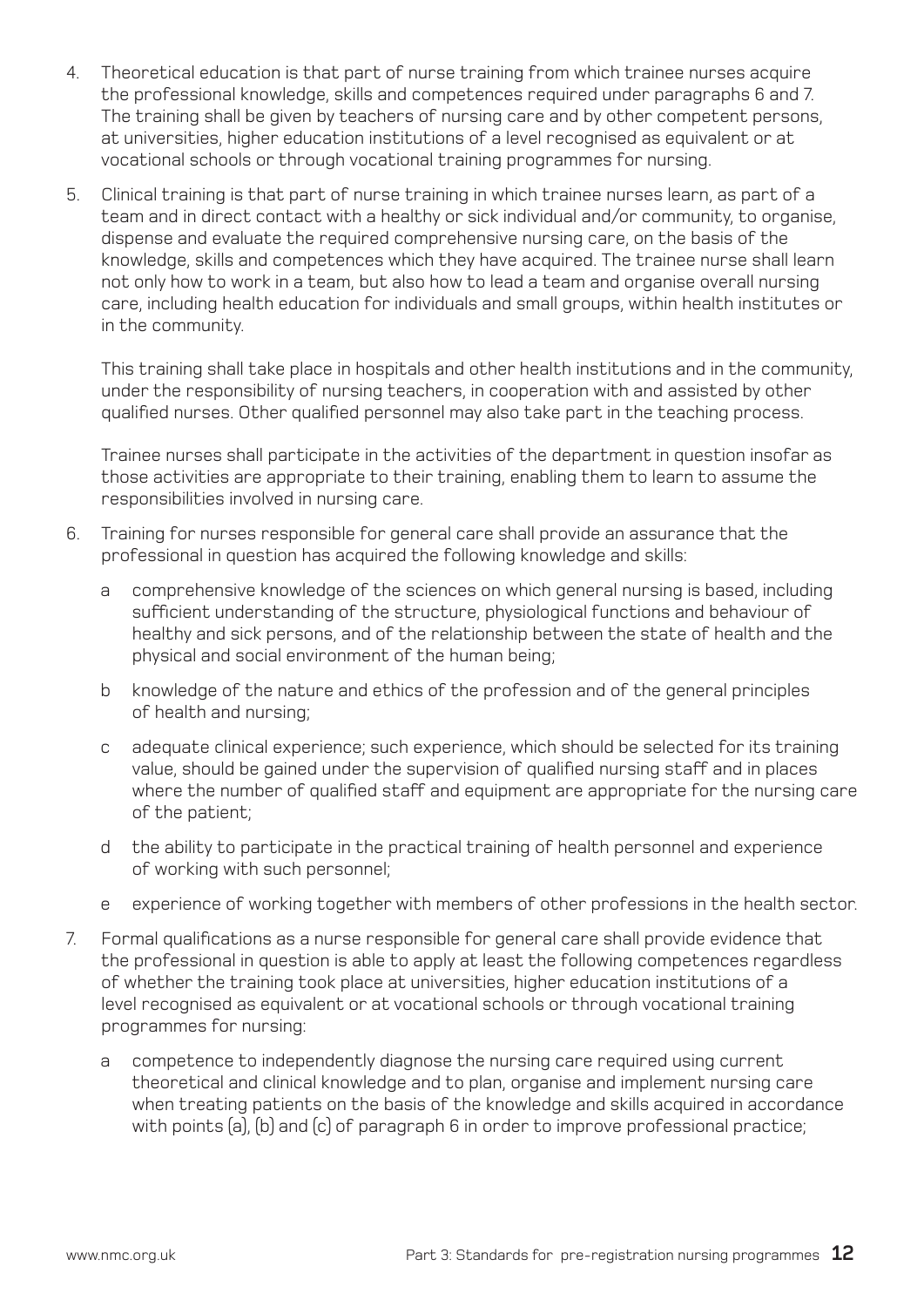- 4. Theoretical education is that part of nurse training from which trainee nurses acquire the professional knowledge, skills and competences required under paragraphs 6 and 7. The training shall be given by teachers of nursing care and by other competent persons, at universities, higher education institutions of a level recognised as equivalent or at vocational schools or through vocational training programmes for nursing.
- 5. Clinical training is that part of nurse training in which trainee nurses learn, as part of a team and in direct contact with a healthy or sick individual and/or community, to organise, dispense and evaluate the required comprehensive nursing care, on the basis of the knowledge, skills and competences which they have acquired. The trainee nurse shall learn not only how to work in a team, but also how to lead a team and organise overall nursing care, including health education for individuals and small groups, within health institutes or in the community.

This training shall take place in hospitals and other health institutions and in the community, under the responsibility of nursing teachers, in cooperation with and assisted by other qualified nurses. Other qualified personnel may also take part in the teaching process.

Trainee nurses shall participate in the activities of the department in question insofar as those activities are appropriate to their training, enabling them to learn to assume the responsibilities involved in nursing care.

- 6. Training for nurses responsible for general care shall provide an assurance that the professional in question has acquired the following knowledge and skills:
	- a comprehensive knowledge of the sciences on which general nursing is based, including sufficient understanding of the structure, physiological functions and behaviour of healthy and sick persons, and of the relationship between the state of health and the physical and social environment of the human being;
	- b knowledge of the nature and ethics of the profession and of the general principles of health and nursing;
	- c adequate clinical experience; such experience, which should be selected for its training value, should be gained under the supervision of qualified nursing staff and in places where the number of qualified staff and equipment are appropriate for the nursing care of the patient;
	- d the ability to participate in the practical training of health personnel and experience of working with such personnel;
	- e experience of working together with members of other professions in the health sector.
- 7. Formal qualifications as a nurse responsible for general care shall provide evidence that the professional in question is able to apply at least the following competences regardless of whether the training took place at universities, higher education institutions of a level recognised as equivalent or at vocational schools or through vocational training programmes for nursing:
	- a competence to independently diagnose the nursing care required using current theoretical and clinical knowledge and to plan, organise and implement nursing care when treating patients on the basis of the knowledge and skills acquired in accordance with points (a), (b) and (c) of paragraph 6 in order to improve professional practice;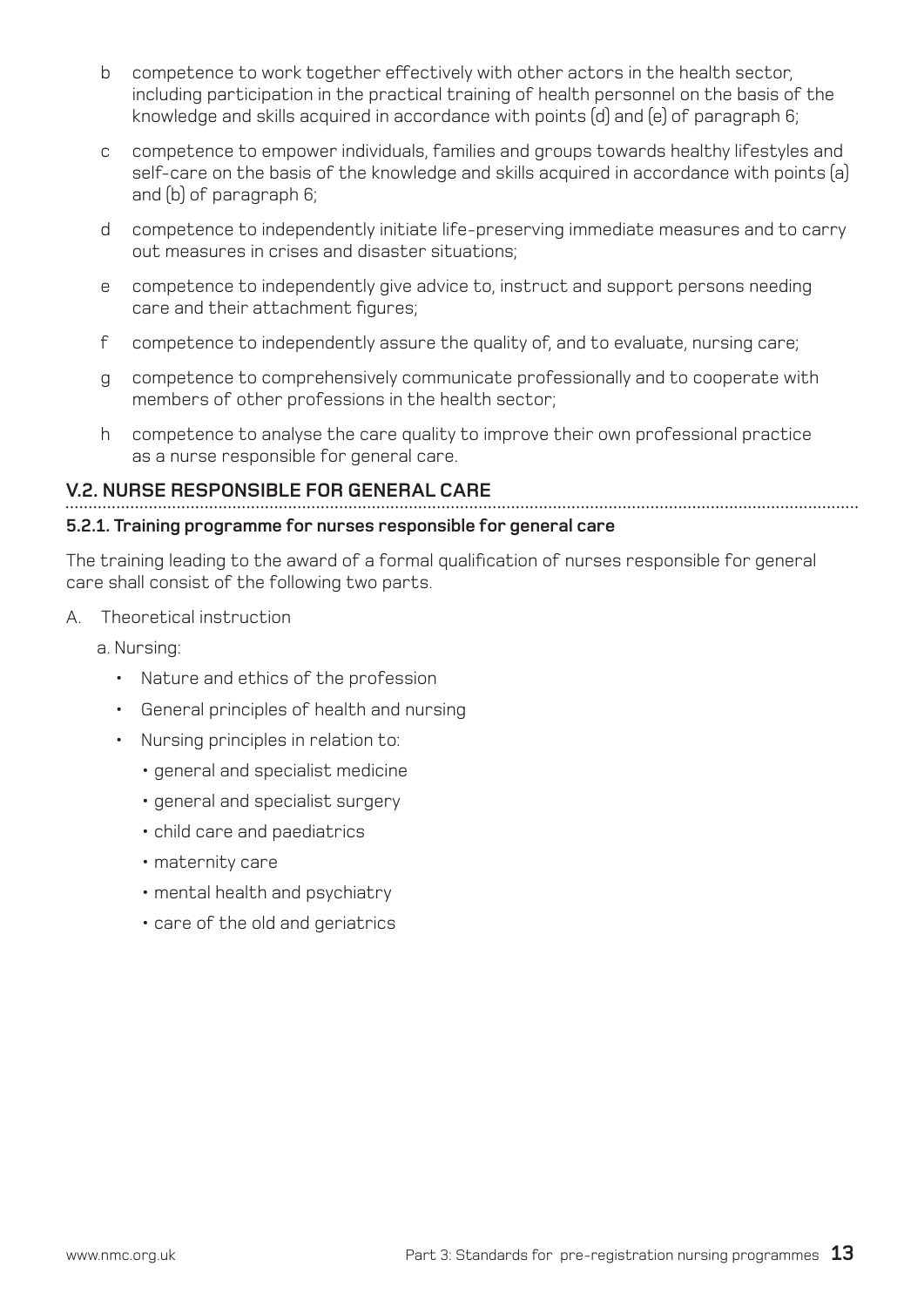- b competence to work together effectively with other actors in the health sector, including participation in the practical training of health personnel on the basis of the knowledge and skills acquired in accordance with points (d) and (e) of paragraph 6;
- c competence to empower individuals, families and groups towards healthy lifestyles and self-care on the basis of the knowledge and skills acquired in accordance with points (a) and (b) of paragraph 6;
- d competence to independently initiate life-preserving immediate measures and to carry out measures in crises and disaster situations;
- e competence to independently give advice to, instruct and support persons needing care and their attachment figures;
- f competence to independently assure the quality of, and to evaluate, nursing care;
- g competence to comprehensively communicate professionally and to cooperate with members of other professions in the health sector;
- h competence to analyse the care quality to improve their own professional practice as a nurse responsible for general care.

#### **V.2. NURSE RESPONSIBLE FOR GENERAL CARE**

**5.2.1. Training programme for nurses responsible for general care** 

The training leading to the award of a formal qualification of nurses responsible for general care shall consist of the following two parts.

A. Theoretical instruction

a. Nursing:

- Nature and ethics of the profession
- General principles of health and nursing
- Nursing principles in relation to:
	- general and specialist medicine
	- general and specialist surgery
	- child care and paediatrics
	- maternity care
	- mental health and psychiatry
	- care of the old and geriatrics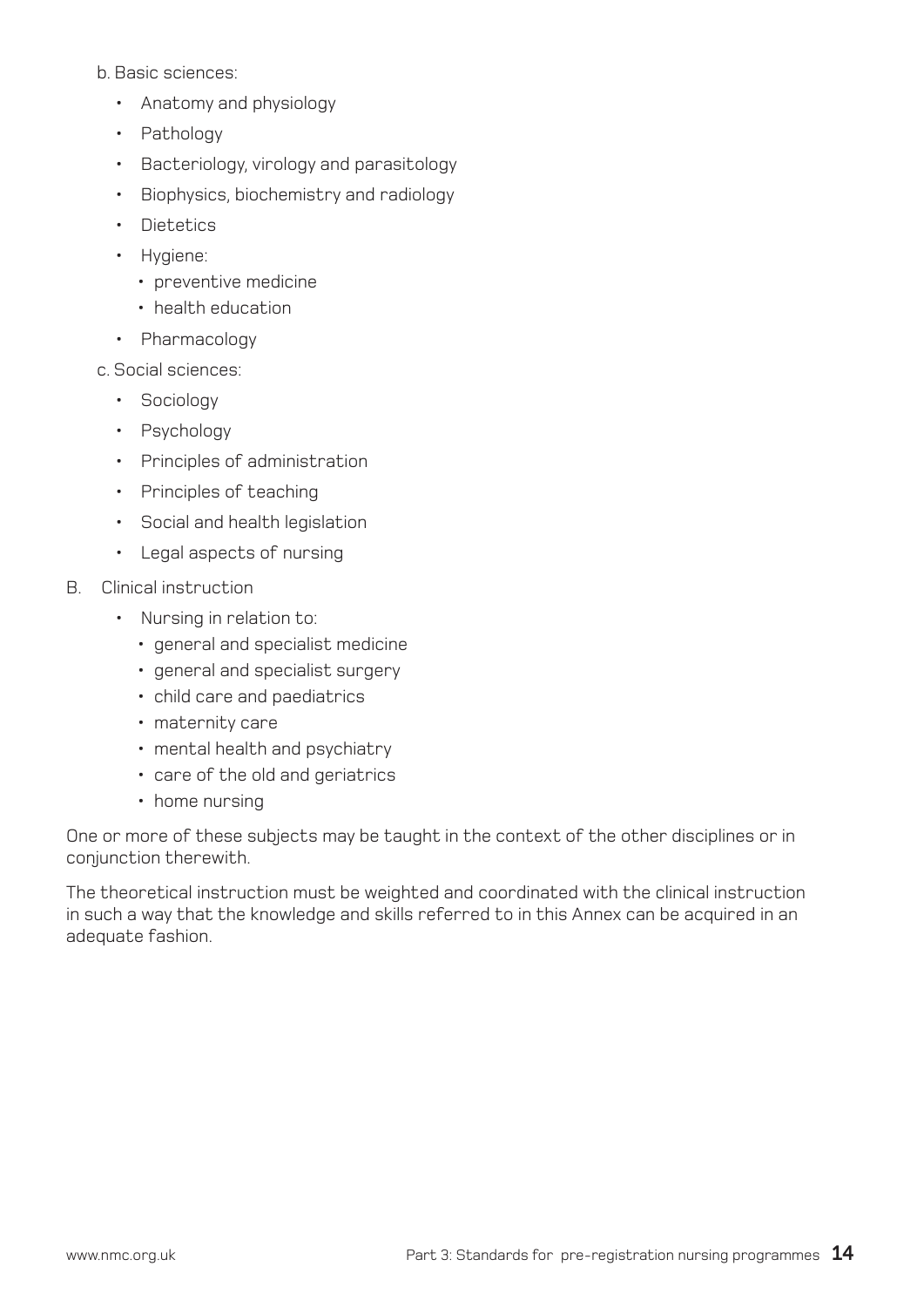- b. Basic sciences:
	- Anatomy and physiology
	- Pathology
	- Bacteriology, virology and parasitology
	- Biophysics, biochemistry and radiology
	- Dietetics
	- Hygiene:
		- preventive medicine
		- health education
	- Pharmacology
- c. Social sciences:
	- Sociology
	- Psychology
	- Principles of administration
	- Principles of teaching
	- Social and health legislation
	- Legal aspects of nursing
- B. Clinical instruction
	- Nursing in relation to:
		- general and specialist medicine
		- general and specialist surgery
		- child care and paediatrics
		- maternity care
		- mental health and psychiatry
		- care of the old and geriatrics
		- home nursing

One or more of these subjects may be taught in the context of the other disciplines or in conjunction therewith.

The theoretical instruction must be weighted and coordinated with the clinical instruction in such a way that the knowledge and skills referred to in this Annex can be acquired in an adequate fashion.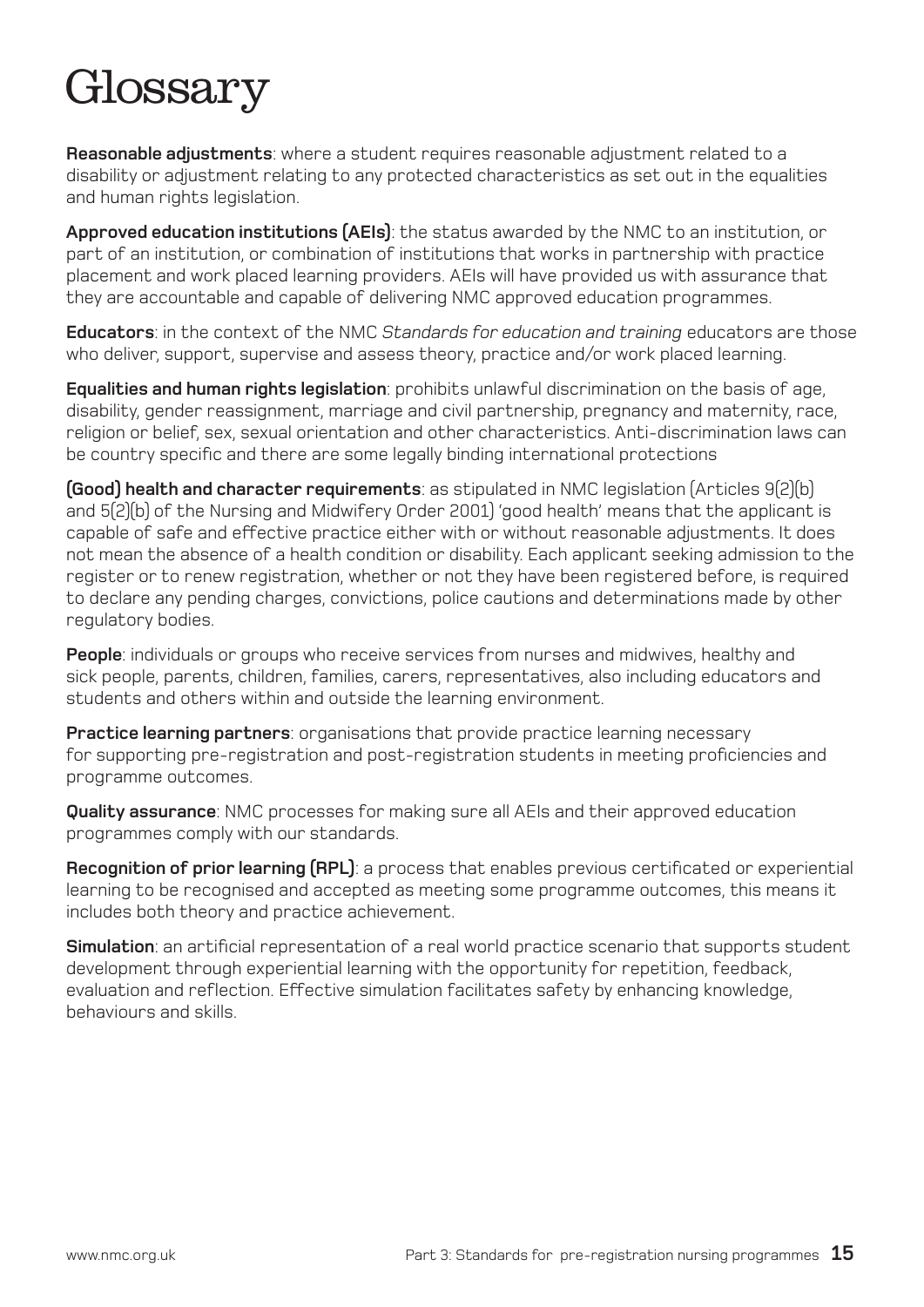# **Glossary**

**Reasonable adjustments**: where a student requires reasonable adjustment related to a disability or adjustment relating to any protected characteristics as set out in the equalities and human rights legislation.

**Approved education institutions (AEIs)**: the status awarded by the NMC to an institution, or part of an institution, or combination of institutions that works in partnership with practice placement and work placed learning providers. AEIs will have provided us with assurance that they are accountable and capable of delivering NMC approved education programmes.

**Educators**: in the context of the NMC *Standards for education and training* educators are those who deliver, support, supervise and assess theory, practice and/or work placed learning.

**Equalities and human rights legislation**: prohibits unlawful discrimination on the basis of age, disability, gender reassignment, marriage and civil partnership, pregnancy and maternity, race, religion or belief, sex, sexual orientation and other characteristics. Anti-discrimination laws can be country specific and there are some legally binding international protections

**(Good) health and character requirements**: as stipulated in NMC legislation (Articles 9(2)(b) and 5(2)(b) of the Nursing and Midwifery Order 2001) 'good health' means that the applicant is capable of safe and effective practice either with or without reasonable adjustments. It does not mean the absence of a health condition or disability. Each applicant seeking admission to the register or to renew registration, whether or not they have been registered before, is required to declare any pending charges, convictions, police cautions and determinations made by other regulatory bodies.

**People**: individuals or groups who receive services from nurses and midwives, healthy and sick people, parents, children, families, carers, representatives, also including educators and students and others within and outside the learning environment.

**Practice learning partners**: organisations that provide practice learning necessary for supporting pre-registration and post-registration students in meeting proficiencies and programme outcomes.

**Quality assurance**: NMC processes for making sure all AEIs and their approved education programmes comply with our standards.

**Recognition of prior learning (RPL)**: a process that enables previous certificated or experiential learning to be recognised and accepted as meeting some programme outcomes, this means it includes both theory and practice achievement.

**Simulation**: an artificial representation of a real world practice scenario that supports student development through experiential learning with the opportunity for repetition, feedback, evaluation and reflection. Effective simulation facilitates safety by enhancing knowledge, behaviours and skills.